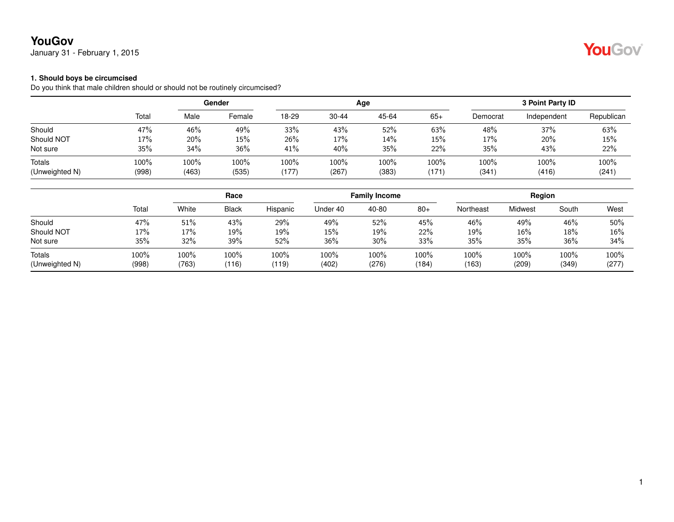## **YouGov**

January 31 - February 1, 2015

#### **1. Should boys be circumcised**

Do you think that male children should or should not be routinely circumcised?

|                | Total | Gender |        |       |           | Age   | 3 Point Party ID |          |             |            |
|----------------|-------|--------|--------|-------|-----------|-------|------------------|----------|-------------|------------|
|                |       | Male   | Female | 18-29 | $30 - 44$ | 45-64 | $65+$            | Democrat | Independent | Republican |
| Should         | 47%   | 46%    | 49%    | 33%   | 43%       | 52%   | 63%              | 48%      | 37%         | 63%        |
| Should NOT     | 17%   | 20%    | 15%    | 26%   | 17%       | 14%   | 15%              | 17%      | 20%         | 15%        |
| Not sure       | 35%   | 34%    | 36%    | 41%   | 40%       | 35%   | 22%              | 35%      | 43%         | 22%        |
| Totals         | 100%  | 100%   | 100%   | 100%  | 100%      | 100%  | 100%             | 100%     | 100%        | 100%       |
| (Unweighted N) | (998) | (463)  | (535)  | (177) | (267)     | (383) | (171)            | (341)    | (416)       | (241)      |

|                                 |               |               | Race          |               | <b>Family Income</b> |               |               | Region        |               |               |               |
|---------------------------------|---------------|---------------|---------------|---------------|----------------------|---------------|---------------|---------------|---------------|---------------|---------------|
|                                 | Total         | White         | <b>Black</b>  | Hispanic      | Under 40             | 40-80         | $80+$         | Northeast     | Midwest       | South         | West          |
| Should                          | 47%           | 51%           | 43%           | 29%           | 49%                  | 52%           | 45%           | 46%           | 49%           | 46%           | 50%           |
| Should NOT                      | 17%           | 17%           | 19%           | 19%           | 15%                  | 19%           | 22%           | 19%           | 16%           | 18%           | 16%           |
| Not sure                        | 35%           | 32%           | 39%           | 52%           | 36%                  | 30%           | 33%           | 35%           | 35%           | 36%           | 34%           |
| <b>Totals</b><br>(Unweighted N) | 100%<br>(998) | 100%<br>(763) | 100%<br>(116) | 100%<br>(119) | 100%<br>(402)        | 100%<br>(276) | 100%<br>(184) | 100%<br>(163) | 100%<br>(209) | 100%<br>(349) | 100%<br>(277) |

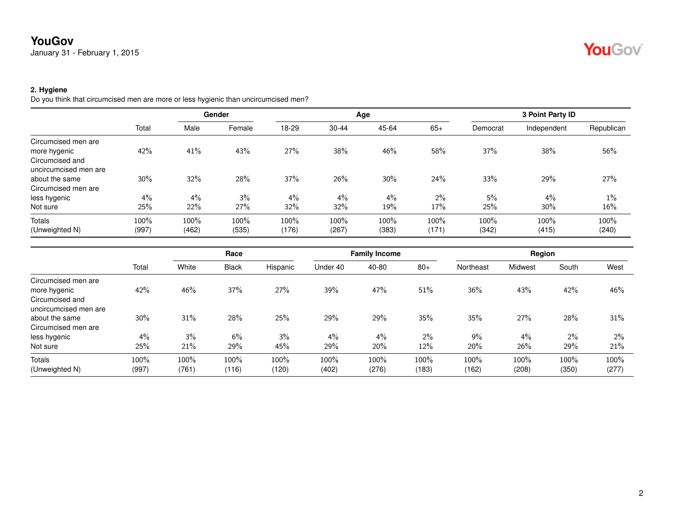## **YouGov**

January 31 - February 1, 2015

# YouGov

## **2. Hygiene**

Do you think that circumcised men are more or less hygienic than uncircumcised men?

|                       |       | Gender |        |       |           | Age   | 3 Point Party ID |          |             |            |
|-----------------------|-------|--------|--------|-------|-----------|-------|------------------|----------|-------------|------------|
|                       | Total | Male   | Female | 18-29 | $30 - 44$ | 45-64 | $65+$            | Democrat | Independent | Republican |
| Circumcised men are   |       |        |        |       |           |       |                  |          |             |            |
| more hygenic          | 42%   | 41%    | 43%    | 27%   | 38%       | 46%   | 58%              | 37%      | 38%         | 56%        |
| Circumcised and       |       |        |        |       |           |       |                  |          |             |            |
| uncircumcised men are |       |        |        |       |           |       |                  |          |             |            |
| about the same        | 30%   | 32%    | 28%    | 37%   | 26%       | 30%   | 24%              | 33%      | 29%         | 27%        |
| Circumcised men are   |       |        |        |       |           |       |                  |          |             |            |
| less hygenic          | 4%    | 4%     | 3%     | 4%    | $4\%$     | 4%    | $2\%$            | 5%       | 4%          | $1\%$      |
| Not sure              | 25%   | 22%    | 27%    | 32%   | 32%       | 19%   | 17%              | 25%      | 30%         | 16%        |
| Totals                | 100%  | 100%   | 100%   | 100%  | 100%      | 100%  | 100%             | 100%     | 100%        | 100%       |
| (Unweighted N)        | (997) | (462)  | (535)  | (176) | (267)     | (383) | (171)            | (342)    | (415)       | (240)      |

|                       | Total | Race  |              |          |          | <b>Family Income</b> |       |           | Region  |       |       |  |
|-----------------------|-------|-------|--------------|----------|----------|----------------------|-------|-----------|---------|-------|-------|--|
|                       |       | White | <b>Black</b> | Hispanic | Under 40 | 40-80                | $80+$ | Northeast | Midwest | South | West  |  |
| Circumcised men are   |       |       |              |          |          |                      |       |           |         |       |       |  |
| more hygenic          | 42%   | 46%   | 37%          | 27%      | 39%      | 47%                  | 51%   | 36%       | 43%     | 42%   | 46%   |  |
| Circumcised and       |       |       |              |          |          |                      |       |           |         |       |       |  |
| uncircumcised men are |       |       |              |          |          |                      |       |           |         |       |       |  |
| about the same        | 30%   | 31%   | 28%          | 25%      | 29%      | 29%                  | 35%   | 35%       | 27%     | 28%   | 31%   |  |
| Circumcised men are   |       |       |              |          |          |                      |       |           |         |       |       |  |
| less hygenic          | 4%    | 3%    | 6%           | 3%       | $4\%$    | $4\%$                | $2\%$ | $9\%$     | 4%      | 2%    | 2%    |  |
| Not sure              | 25%   | 21%   | 29%          | 45%      | 29%      | 20%                  | 12%   | 20%       | 26%     | 29%   | 21%   |  |
| Totals                | 100%  | 100%  | 100%         | 100%     | 100%     | 100%                 | 100%  | 100%      | 100%    | 100%  | 100%  |  |
| (Unweighted N)        | (997) | (761) | (116)        | (120)    | (402)    | (276)                | (183) | (162)     | (208)   | (350) | (277) |  |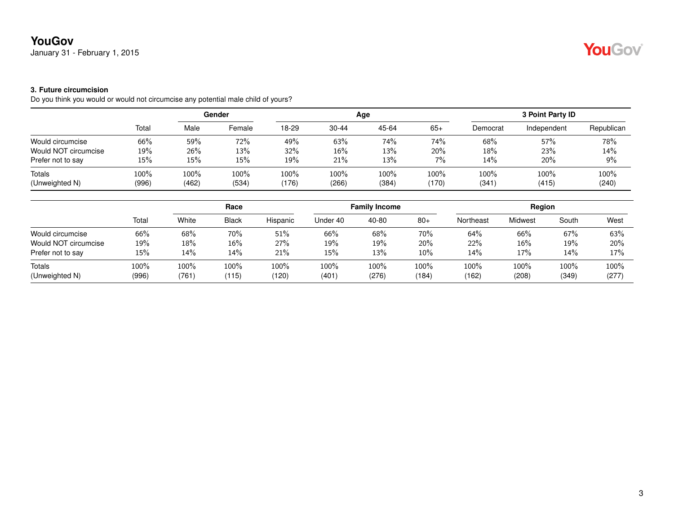## **YouGov**

January 31 - February 1, 2015

### **3. Future circumcision**

Do you think you would or would not circumcise any potential male child of yours?

|                          |               | Gender        |               |               |               | Age           | 3 Point Party ID |               |                  |               |
|--------------------------|---------------|---------------|---------------|---------------|---------------|---------------|------------------|---------------|------------------|---------------|
|                          | Total         | Male          | Female        | 18-29         | $30 - 44$     | 45-64         | $65+$            | Democrat      | Independent      | Republican    |
| Would circumcise         | 66%           | 59%           | 72%           | 49%           | 63%           | 74%           | 74%              | 68%           | 57%              | 78%           |
| Would NOT circumcise     | 19%           | 26%           | 13%           | 32%           | 16%           | 13%           | 20%              | 18%           | 23%              | 14%           |
| Prefer not to say        | 15%           | 15%           | 15%           | 19%           | 21%           | 13%           | 7%               | 14%           | 20%              | 9%            |
| Totals<br>(Unweighted N) | 100%<br>(996) | 100%<br>(462) | 100%<br>(534) | 100%<br>(176) | 100%<br>(266) | 100%<br>(384) | 100%<br>(170)    | 100%<br>(341) | $100\%$<br>(415) | 100%<br>(240) |

|                      |       | Race  |              |          |          | <b>Family Income</b> |         |           | Region  |       |       |  |
|----------------------|-------|-------|--------------|----------|----------|----------------------|---------|-----------|---------|-------|-------|--|
|                      | Total | White | <b>Black</b> | Hispanic | Under 40 | 40-80                | $80+$   | Northeast | Midwest | South | West  |  |
| Would circumcise     | 66%   | 68%   | 70%          | 51%      | 66%      | 68%                  | 70%     | 64%       | 66%     | 67%   | 63%   |  |
| Would NOT circumcise | 19%   | 18%   | 16%          | 27%      | 19%      | 19%                  | $20\%$  | 22%       | 16%     | 19%   | 20%   |  |
| Prefer not to say    | 15%   | 14%   | 14%          | 21%      | 15%      | 13%                  | $10\%$  | 14%       | 17%     | 14%   | 17%   |  |
| Totals               | 100%  | 100%  | 100%         | 100%     | 100%     | 100%                 | $100\%$ | $100\%$   | 100%    | 100%  | 100%  |  |
| (Unweighted N)       | (996) | (761) | (115)        | (120)    | (401     | (276)                | (184)   | (162)     | (208)   | (349) | (277) |  |